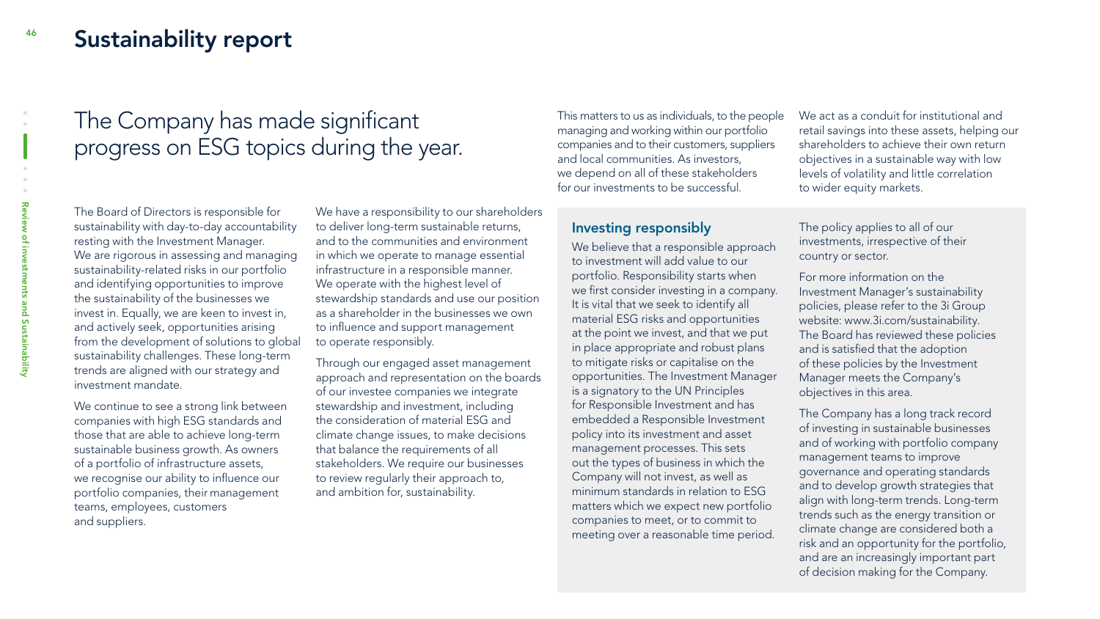### Sustainability report

# The Company has made significant progress on ESG topics during the year.

The Board of Directors is responsible for sustainability with day-to-day accountability resting with the Investment Manager. We are rigorous in assessing and managing sustainability-related risks in our portfolio and identifying opportunities to improve the sustainability of the businesses we invest in. Equally, we are keen to invest in, and actively seek, opportunities arising from the development of solutions to global sustainability challenges. These long-term trends are aligned with our strategy and investment mandate.

We continue to see a strong link between companies with high ESG standards and those that are able to achieve long-term sustainable business growth. As owners of a portfolio of infrastructure assets, we recognise our ability to influence our portfolio companies, their management teams, employees, customers and suppliers.

We have a responsibility to our shareholders to deliver long-term sustainable returns, and to the communities and environment in which we operate to manage essential infrastructure in a responsible manner. We operate with the highest level of stewardship standards and use our position as a shareholder in the businesses we own to influence and support management to operate responsibly.

Through our engaged asset management approach and representation on the boards of our investee companies we integrate stewardship and investment, including the consideration of material ESG and climate change issues, to make decisions that balance the requirements of all stakeholders. We require our businesses to review regularly their approach to, and ambition for, sustainability.

This matters to us as individuals, to the people managing and working within our portfolio companies and to their customers, suppliers and local communities. As investors, we depend on all of these stakeholders for our investments to be successful.

We act as a conduit for institutional and retail savings into these assets, helping our shareholders to achieve their own return objectives in a sustainable way with low levels of volatility and little correlation to wider equity markets.

#### Investing responsibly

We believe that a responsible approach to investment will add value to our portfolio. Responsibility starts when we first consider investing in a company. It is vital that we seek to identify all material ESG risks and opportunities at the point we invest, and that we put in place appropriate and robust plans to mitigate risks or capitalise on the opportunities. The Investment Manager is a signatory to the UN Principles for Responsible Investment and has embedded a Responsible Investment policy into its investment and asset management processes. This sets out the types of business in which the Company will not invest, as well as minimum standards in relation to ESG matters which we expect new portfolio companies to meet, or to commit to meeting over a reasonable time period.

The policy applies to all of our investments, irrespective of their country or sector.

For more information on the Investment Manager's sustainability policies, please refer to the 3i Group website: www.3i.com/sustainability. The Board has reviewed these policies and is satisfied that the adoption of these policies by the Investment Manager meets the Company's objectives in this area.

The Company has a long track record of investing in sustainable businesses and of working with portfolio company management teams to improve governance and operating standards and to develop growth strategies that align with long-term trends. Long-term trends such as the energy transition or climate change are considered both a risk and an opportunity for the portfolio, and are an increasingly important part of decision making for the Company.

46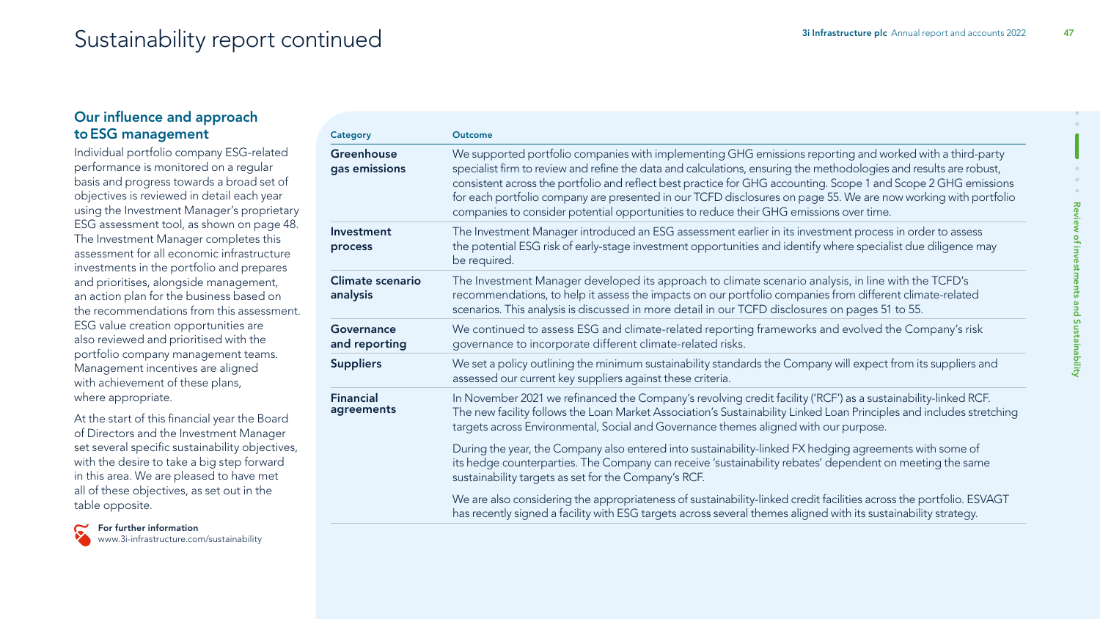# Sustainability report continued and accounts 2022 47

#### Our influence and approach toESG management

Individual portfolio company ESG-related performance is monitored on a regular basis and progress towards a broad set of objectives is reviewed in detail each year using the Investment Manager's proprietary ESG assessment tool, as shown on page 48. The Investment Manager completes this assessment for all economic infrastructure investments in the portfolio and prepares and prioritises, alongside management, an action plan for the business based on the recommendations from this assessment. ESG value creation opportunities are also reviewed and prioritised with the portfolio company management teams. Management incentives are aligned with achievement of these plans, where appropriate.

At the start of this financial year the Board of Directors and the Investment Manager set several specific sustainability objectives, with the desire to take a big step forward in this area. We are pleased to have met all of these objectives, as set out in the table opposite.



| Category                       | <b>Outcome</b>                                                                                                                                                                                                                                                                                                                                                                                                                                                                                                                                                |  |
|--------------------------------|---------------------------------------------------------------------------------------------------------------------------------------------------------------------------------------------------------------------------------------------------------------------------------------------------------------------------------------------------------------------------------------------------------------------------------------------------------------------------------------------------------------------------------------------------------------|--|
| Greenhouse<br>gas emissions    | We supported portfolio companies with implementing GHG emissions reporting and worked with a third-party<br>specialist firm to review and refine the data and calculations, ensuring the methodologies and results are robust,<br>consistent across the portfolio and reflect best practice for GHG accounting. Scope 1 and Scope 2 GHG emissions<br>for each portfolio company are presented in our TCFD disclosures on page 55. We are now working with portfolio<br>companies to consider potential opportunities to reduce their GHG emissions over time. |  |
| Investment<br>process          | The Investment Manager introduced an ESG assessment earlier in its investment process in order to assess<br>the potential ESG risk of early-stage investment opportunities and identify where specialist due diligence may<br>be required.                                                                                                                                                                                                                                                                                                                    |  |
| Climate scenario<br>analysis   | The Investment Manager developed its approach to climate scenario analysis, in line with the TCFD's<br>recommendations, to help it assess the impacts on our portfolio companies from different climate-related<br>scenarios. This analysis is discussed in more detail in our TCFD disclosures on pages 51 to 55.                                                                                                                                                                                                                                            |  |
| Governance<br>and reporting    | We continued to assess ESG and climate-related reporting frameworks and evolved the Company's risk<br>governance to incorporate different climate-related risks.                                                                                                                                                                                                                                                                                                                                                                                              |  |
| <b>Suppliers</b>               | We set a policy outlining the minimum sustainability standards the Company will expect from its suppliers and<br>assessed our current key suppliers against these criteria.                                                                                                                                                                                                                                                                                                                                                                                   |  |
| <b>Financial</b><br>agreements | In November 2021 we refinanced the Company's revolving credit facility ('RCF') as a sustainability-linked RCF.<br>The new facility follows the Loan Market Association's Sustainability Linked Loan Principles and includes stretching<br>targets across Environmental, Social and Governance themes aligned with our purpose.                                                                                                                                                                                                                                |  |
|                                | During the year, the Company also entered into sustainability-linked FX hedging agreements with some of<br>its hedge counterparties. The Company can receive 'sustainability rebates' dependent on meeting the same<br>sustainability targets as set for the Company's RCF.                                                                                                                                                                                                                                                                                   |  |
|                                | We are also considering the appropriateness of sustainability-linked credit facilities across the portfolio. ESVAGT<br>has recently signed a facility with ESG targets across several themes aligned with its sustainability strategy.                                                                                                                                                                                                                                                                                                                        |  |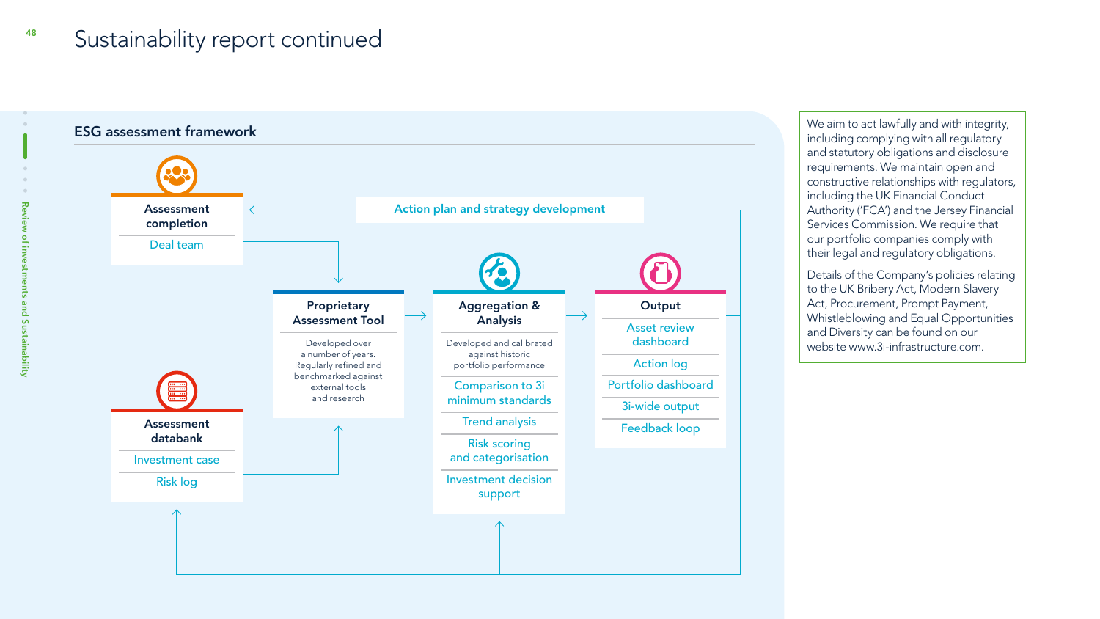#### Sustainability report continued 48



We aim to act lawfully and with integrity, including complying with all regulatory and statutory obligations and disclosure requirements. We maintain open and constructive relationships with regulators, including the UK Financial Conduct Authority ('FCA') and the Jersey Financial Services Commission. We require that our portfolio companies comply with their legal and regulatory obligations.

Details of the Company's policies relating to the UK Bribery Act, Modern Slavery Act, Procurement, Prompt Payment, Whistleblowing and Equal Opportunities and Diversity can be found on our website www.3i-infrastructure.com.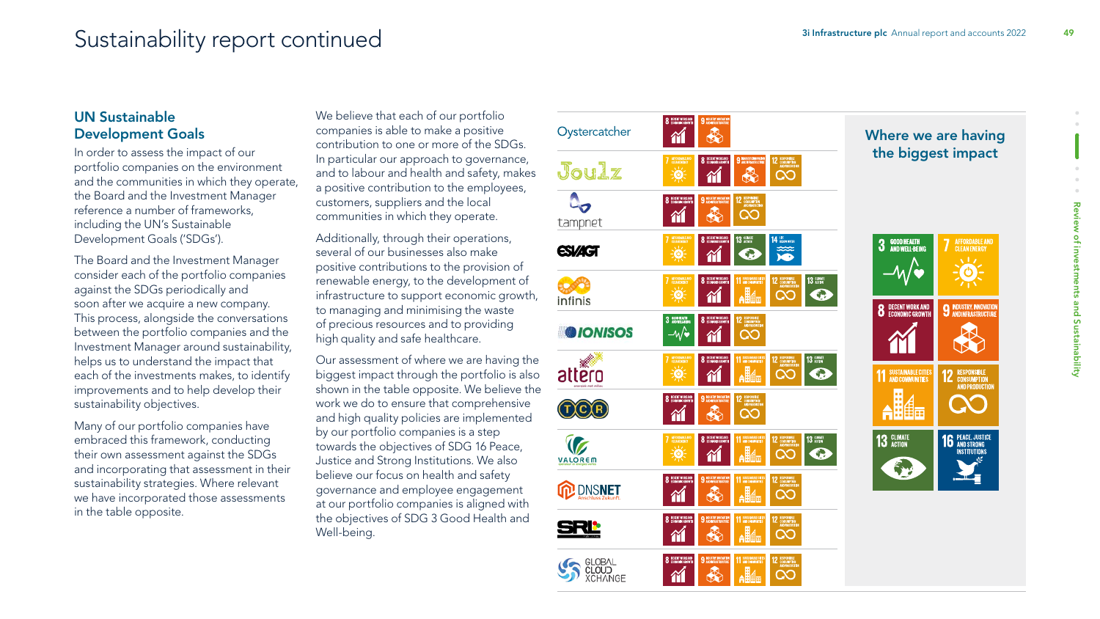# Sustainability report continued and accounts 2022 49

#### UN Sustainable Development Goals

In order to assess the impact of our portfolio companies on the environment and the communities in which they operate, the Board and the Investment Manager reference a number of frameworks, including the UN's Sustainable Development Goals ('SDGs').

The Board and the Investment Manager consider each of the portfolio companies against the SDGs periodically and soon after we acquire a new company. This process, alongside the conversations between the portfolio companies and the Investment Manager around sustainability, helps us to understand the impact that each of the investments makes, to identify improvements and to help develop their sustainability objectives.

Many of our portfolio companies have embraced this framework, conducting their own assessment against the SDGs and incorporating that assessment in their sustainability strategies. Where relevant we have incorporated those assessments in the table opposite.

We believe that each of our portfolio companies is able to make a positive contribution to one or more of the SDGs. In particular our approach to governance, and to labour and health and safety, makes a positive contribution to the employees, customers, suppliers and the local communities in which they operate.

Additionally, through their operations, several of our businesses also make positive contributions to the provision of renewable energy, to the development of infrastructure to support economic growth, to managing and minimising the waste of precious resources and to providing high quality and safe healthcare.

Our assessment of where we are having the biggest impact through the portfolio is also shown in the table opposite. We believe the work we do to ensure that comprehensive and high quality policies are implemented by our portfolio companies is a step towards the objectives of SDG 16 Peace, Justice and Strong Institutions. We also believe our focus on health and safety governance and employee engagement at our portfolio companies is aligned with the objectives of SDG 3 Good Health and Well-being.

| Oystercatcher                             | 8 DECENT MORKAND<br>9 INDUSTRY, DWOWEDD<br>♣<br>îí                                                                                                                                                    |
|-------------------------------------------|-------------------------------------------------------------------------------------------------------------------------------------------------------------------------------------------------------|
| Joulz                                     | AFFORDABLE AND<br>CLEANEMERGY<br>9 HOLSTEY, BACANTER<br>AID BERASTRUCTURE<br>8 DECENT MORKAND<br>12 RESPONSIBLE<br>AND FACCOCTEN<br>美<br>♣<br>Œ                                                       |
| tampnet                                   | 8 DECENT MORKAND<br>9 INDUSTRY, DONOVATOR<br>12 ESPONSELE<br>ADISCOUTION<br>€<br>20<br>M                                                                                                              |
| <b>ESIZIGT</b>                            | AFFORDABLE AND<br>CLEANENERSY<br>8 DECENT MORKAND<br>$13 \text{ m}$<br>14 BELOW W/TER<br>美<br>⊕<br>衜<br>ó                                                                                             |
| infinis                                   | AFFORDABLE AND<br>CLEANENERSY<br>8 DECENT MORK AND<br>11 SUSTAINABLE CITIES<br>12 RESPONSIBLE<br>AND FRECOUTIEN<br>13 acros<br>美<br><b>Allel</b><br><u>CO</u><br>$\bullet$<br>衜                       |
| <b>O</b> IONISOS                          | 3 BOONEAUN<br>8 DECENT MORKAND<br>12 RESPONSIBLE<br>AND PRECIDENTS<br>WO<br>00<br>衜                                                                                                                   |
| attero                                    | 8 DECEMBRANCE<br>11 SISTAMALE CITES<br>AFFORDABLE AND<br>CLEANEMERSY<br>12 RESPONSIBLE<br>AND PRECEUDIN<br><b>13 ADMATE</b><br>$\frac{1}{\phi}$<br><b>Alla</b><br>◠<br>⊕<br>ñ                         |
|                                           | 8 DECENT MORKAND<br>9 INDUSTRY, DONTALTER<br>RESPONSIBLE<br>Consemption<br>Andpreedentin<br>12<br>♣<br>$\infty$<br>îí                                                                                 |
| VALOREM                                   | 11 SUSTAINABE CITES<br>AFFORDABLE AND<br>8 DECENT MORKAND<br>13 GEMATE<br>12 RESPONSIBLE<br>AND FRECENCITIES<br>$\frac{1}{\phi}$<br>$\overline{\mathsf{A}}$ li $\overline{\mathsf{A}}$<br>S<br>◠<br>衜 |
| <b>DNSNET</b><br><b>Anschluss Zukunft</b> | 8 DECENT MORKAND<br><b>11 SUSTAINABLE CITIES</b><br>9 INDUSTRY PROVINTING<br>12 RESPONSIBLE<br>AND PRECEURITIES<br><b>AH4</b><br>♣<br>$\overline{\text{CO}}$<br>îí                                    |
|                                           | <b>11 SISTANARLE CITIES</b><br>8 DECENT MORKAND<br>9 INDUSTRY DOUWIND<br>RESPONSIBLE<br>Consumption<br>And Production<br>12<br><b>Alia</b><br>ຊ<br>$\overline{\text{CO}}$<br>W                        |
| CLOUD<br>CLOUD<br><b>XCHANGE</b>          | 11 SUSTAINABLE CITIES<br>8 DECENT MORKAND<br>9 INDUSTRY DOWNWIDE<br>12 RESPONSIBLE<br>AND PRECEUDIN<br>$\mathbf{A}$<br>€<br>⌒<br>衎<br>۹                                                               |

#### Where we are having the biggest impact

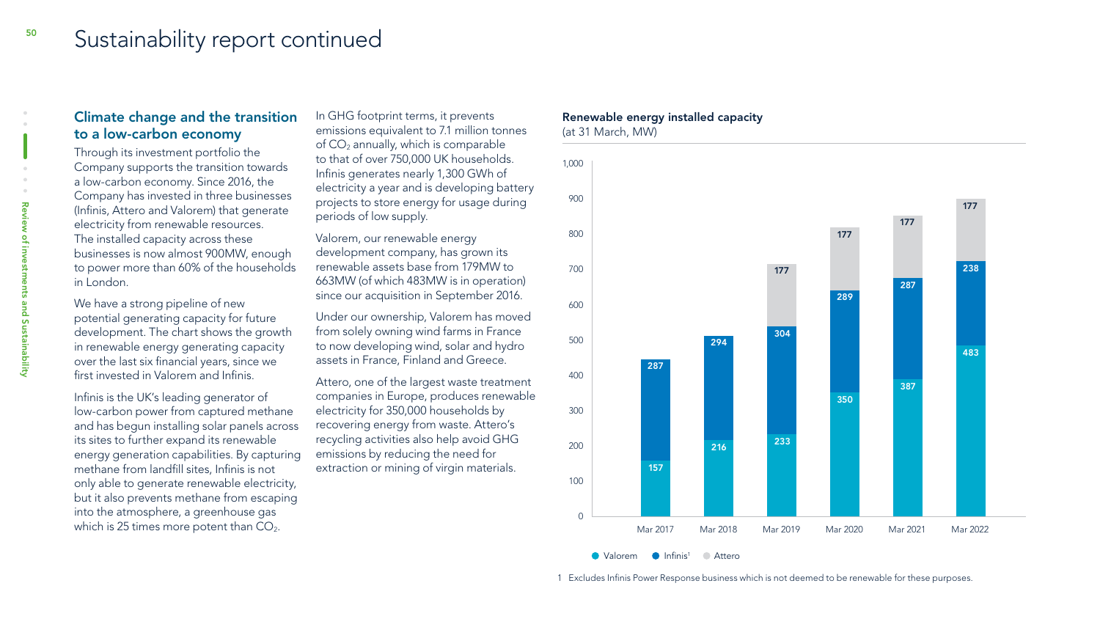### Sustainability report continued

#### Climate change and the transition to a low-carbon economy

Through its investment portfolio the Company supports the transition towards a low-carbon economy. Since 2016, the Company has invested in three businesses (Infinis, Attero and Valorem) that generate electricity from renewable resources. The installed capacity across these businesses is now almost 900MW, enough to power more than 60% of the households in London.

We have a strong pipeline of new potential generating capacity for future development. The chart shows the growth in renewable energy generating capacity over the last six financial years, since we first invested in Valorem and Infinis.

Infinis is the UK's leading generator of low-carbon power from captured methane and has begun installing solar panels across its sites to further expand its renewable energy generation capabilities. By capturing methane from landfill sites, Infinis is not only able to generate renewable electricity, but it also prevents methane from escaping into the atmosphere, a greenhouse gas which is 25 times more potent than  $CO<sub>2</sub>$ .

In GHG footprint terms, it prevents emissions equivalent to 7.1 million tonnes of  $CO<sub>2</sub>$  annually, which is comparable to that of over 750,000 UK households. Infinis generates nearly 1,300 GWh of electricity a year and is developing battery projects to store energy for usage during periods of low supply.

Valorem, our renewable energy development company, has grown its renewable assets base from 179MW to 663MW (of which 483MW is in operation) since our acquisition in September 2016.

Under our ownership, Valorem has moved from solely owning wind farms in France to now developing wind, solar and hydro assets in France, Finland and Greece.

Attero, one of the largest waste treatment companies in Europe, produces renewable electricity for 350,000 households by recovering energy from waste. Attero's recycling activities also help avoid GHG emissions by reducing the need for extraction or mining of virgin materials.

#### Renewable energy installed capacity (at 31 March, MW)



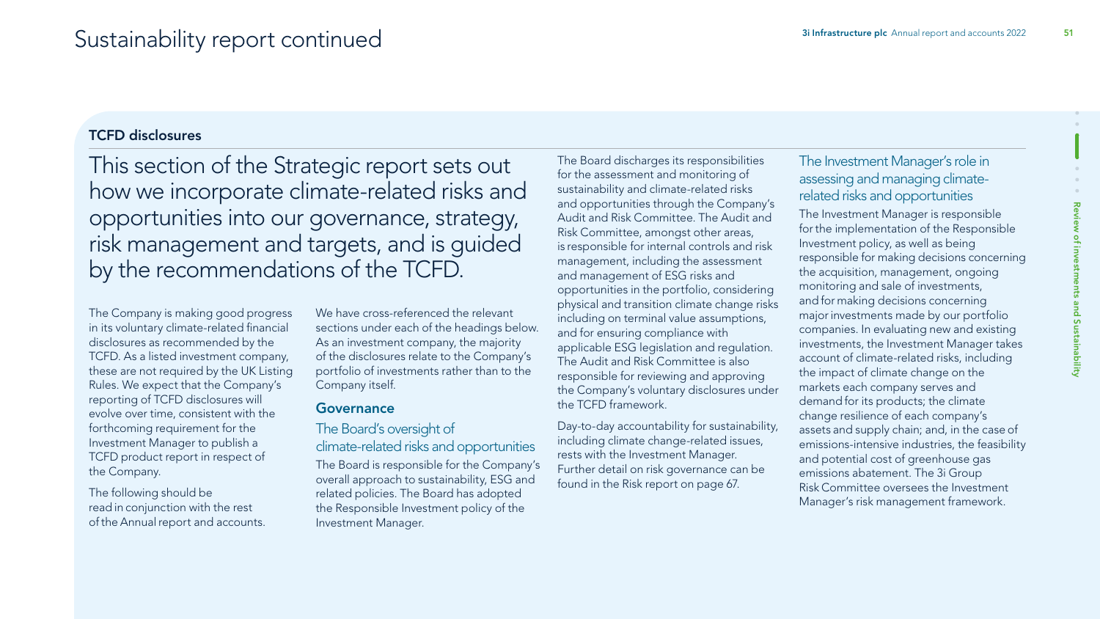#### TCFD disclosures

This section of the Strategic report sets out how we incorporate climate-related risks and opportunities into our governance, strategy, risk management and targets, and is guided by the recommendations of the TCFD.

The Company is making good progress in its voluntary climate-related financial disclosures as recommended by the TCFD. As a listed investment company, these are not required by the UK Listing Rules. We expect that the Company's reporting of TCFD disclosures will evolve over time, consistent with the forthcoming requirement for the Investment Manager to publish a TCFD product report in respect of the Company.

The following should be read in conjunction with the rest of theAnnual report and accounts. We have cross-referenced the relevant sections under each of the headings below. As an investment company, the majority of the disclosures relate to the Company's portfolio of investments rather than to the Company itself.

#### Governance

### The Board's oversight of

### climate-related risks and opportunities

The Board is responsible for the Company's overall approach to sustainability, ESG and related policies. The Board has adopted the Responsible Investment policy of the Investment Manager.

The Board discharges its responsibilities for the assessment and monitoring of sustainability and climate-related risks and opportunities through the Company's Audit and Risk Committee. The Audit and Risk Committee, amongst other areas, is responsible for internal controls and risk management, including the assessment and management of ESG risks and opportunities in the portfolio, considering physical and transition climate change risks including on terminal value assumptions, and for ensuring compliance with applicable ESG legislation and regulation. The Audit and Risk Committee is also responsible for reviewing and approving the Company's voluntary disclosures under the TCFD framework.

Day-to-day accountability for sustainability, including climate change-related issues, rests with the Investment Manager. Further detail on risk governance can be found in the Risk report on page 67.

### The Investment Manager's role in assessing and managing climaterelated risks and opportunities

The Investment Manager is responsible for the implementation of the Responsible Investment policy, as well as being responsible for making decisions concerning the acquisition, management, ongoing monitoring and sale of investments, and for making decisions concerning major investments made by our portfolio companies. In evaluating new and existing investments, the Investment Manager takes account of climate-related risks, including the impact of climate change on the markets each company serves and demand for its products; the climate change resilience of each company's assets and supply chain; and, in the case of emissions-intensive industries, the feasibility and potential cost of greenhouse gas emissions abatement. The 3i Group Risk Committee oversees the Investment Manager's risk management framework.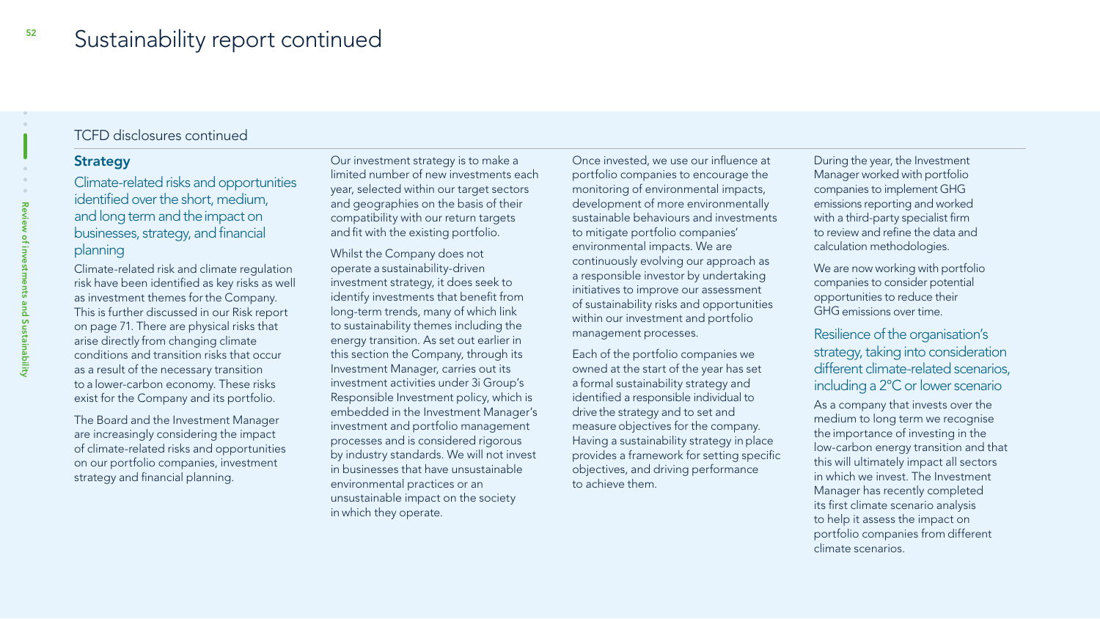#### **Strategy**

Climate-related risks and opportunities identified over the short, medium, and long term and the impact on businesses, strategy, and financial planning

Climate-related risk and climate regulation risk have been identified as key risks as well as investment themes for the Company. This is further discussed in our Risk report on page 71. There are physical risks that arise directly from changing climate conditions and transition risks that occur as a result of the necessary transition to a lower-carbon economy. These risks exist for the Company and its portfolio.

The Board and the Investment Manager are increasingly considering the impact of climate-related risks and opportunities on our portfolio companies, investment strategy and financial planning.

Our investment strategy is to make a limited number of new investments each year, selected within our target sectors and geographies on the basis of their compatibility with our return targets and fit with the existing portfolio.

Whilst the Company does not operate a sustainability-driven investment strategy, it does seek to identify investments that benefit from long-term trends, many of which link to sustainability themes including the energy transition. As set out earlier in this section the Company, through its Investment Manager, carries out its investment activities under 3i Group's Responsible Investment policy, which is embedded in the Investment Manager's investment and portfolio management processes and is considered rigorous by industry standards. We will not invest in businesses that have unsustainable environmental practices or an unsustainable impact on the society in which they operate.

Once invested, we use our influence at portfolio companies to encourage the monitoring of environmental impacts, development of more environmentally sustainable behaviours and investments to mitigate portfolio companies' environmental impacts. We are continuously evolving our approach as a responsible investor by undertaking initiatives to improve our assessment of sustainability risks and opportunities within our investment and portfolio management processes.

Each of the portfolio companies we owned at the start of the year has set a formal sustainability strategy and identified a responsible individual to drive the strategy and to set and measure objectives for the company. Having a sustainability strategy in place provides a framework for setting specific objectives, and driving performance to achieve them.

During the year, the Investment Manager worked with portfolio companies to implement GHG emissions reporting and worked with a third-party specialist firm to review and refine the data and calculation methodologies.

We are now working with portfolio companies to consider potential opportunities to reduce their GHG emissions over time.

Resilience of the organisation's strategy, taking into consideration different climate-related scenarios, including a 2°C or lower scenario

As a company that invests over the medium to long term we recognise the importance of investing in the low-carbon energy transition and that this will ultimately impact all sectors in which we invest. The Investment Manager has recently completed its first climate scenario analysis to help it assess the impact on portfolio companies from different climate scenarios.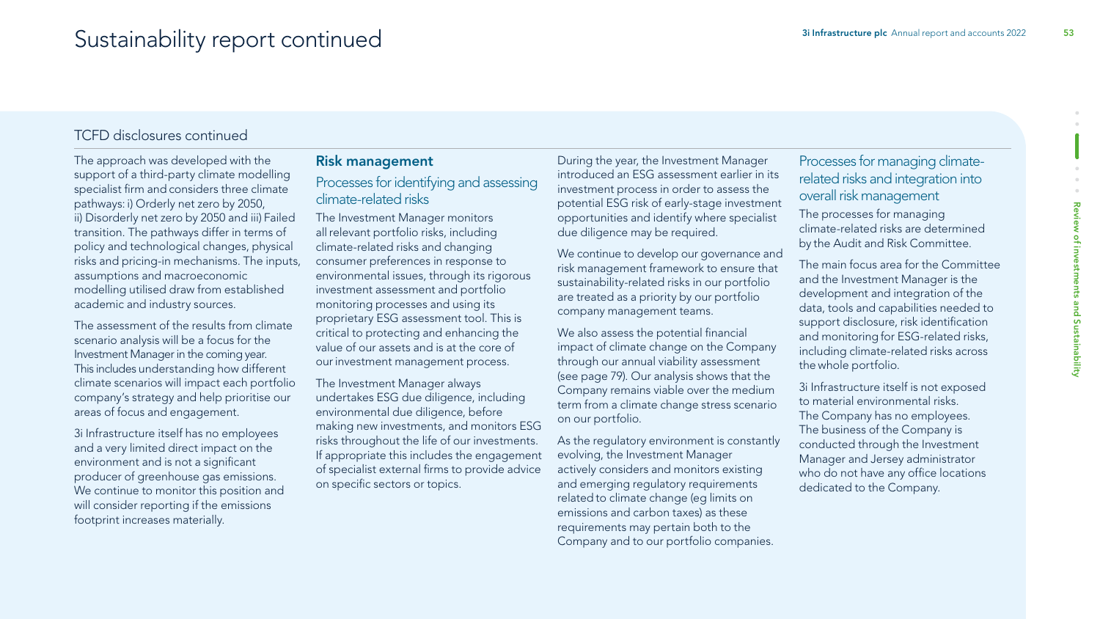The approach was developed with the support of a third-party climate modelling specialist firm and considers three climate pathways: i) Orderly net zero by 2050, ii) Disorderly net zero by 2050 and iii) Failed transition. The pathways differ in terms of policy and technological changes, physical risks and pricing-in mechanisms. The inputs, assumptions and macroeconomic modelling utilised draw from established academic and industry sources.

The assessment of the results from climate scenario analysis will be a focus for the Investment Manager in the coming year. This includes understanding how different climate scenarios will impact each portfolio company's strategy and help prioritise our areas of focus and engagement.

3i Infrastructure itself has no employees and a very limited direct impact on the environment and is not a significant producer of greenhouse gas emissions. We continue to monitor this position and will consider reporting if the emissions footprint increases materially.

#### Risk management

Processes for identifying and assessing climate-related risks

The Investment Manager monitors all relevant portfolio risks, including climate-related risks and changing consumer preferences in response to environmental issues, through its rigorous investment assessment and portfolio monitoring processes and using its proprietary ESG assessment tool. This is critical to protecting and enhancing the value of our assets and is at the core of our investment management process.

The Investment Manager always undertakes ESG due diligence, including environmental due diligence, before making new investments, and monitors ESG risks throughout the life of our investments. If appropriate this includes the engagement of specialist external firms to provide advice on specific sectors or topics.

During the year, the Investment Manager introduced an ESG assessment earlier in its investment process in order to assess the potential ESG risk of early-stage investment opportunities and identify where specialist due diligence may be required.

We continue to develop our governance and risk management framework to ensure that sustainability-related risks in our portfolio are treated as a priority by our portfolio company management teams.

We also assess the potential financial impact of climate change on the Company through our annual viability assessment (see page 79). Our analysis shows that the Company remains viable over the medium term from a climate change stress scenario on our portfolio.

As the regulatory environment is constantly evolving, the Investment Manager actively considers and monitors existing and emerging regulatory requirements related to climate change (eg limits on emissions and carbon taxes) as these requirements may pertain both to the Company and to our portfolio companies.

Processes for managing climaterelated risks and integration into overall risk management

The processes for managing climate-related risks are determined by the Audit and Risk Committee.

The main focus area for the Committee and the Investment Manager is the development and integration of the data, tools and capabilities needed to support disclosure, risk identification and monitoring for ESG-related risks, including climate-related risks across the whole portfolio.

Review of investments and Sustainability

and Sustainability

ä

Review of investme

3i Infrastructure itself is not exposed to material environmental risks. The Company has no employees. The business of the Company is conducted through the Investment Manager and Jersey administrator who do not have any office locations dedicated to the Company.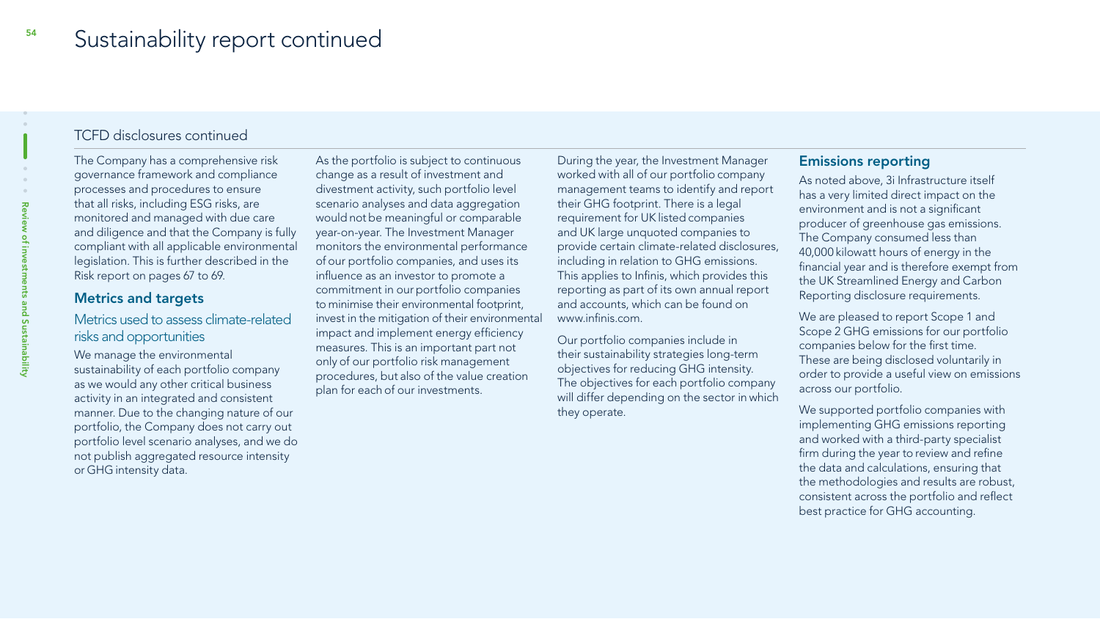The Company has a comprehensive risk governance framework and compliance processes and procedures to ensure that all risks, including ESG risks, are monitored and managed with due care and diligence and that the Company is fully compliant with all applicable environmental legislation. This is further described in the Risk report on pages 67 to 69.

#### Metrics and targets

Metrics used to assess climate-related risks and opportunities

We manage the environmental sustainability of each portfolio company as we would any other critical business activity in an integrated and consistent manner. Due to the changing nature of our portfolio, the Company does not carry out portfolio level scenario analyses, and we do not publish aggregated resource intensity or GHG intensity data.

As the portfolio is subject to continuous change as a result of investment and divestment activity, such portfolio level scenario analyses and data aggregation would not be meaningful or comparable year-on-year. The Investment Manager monitors the environmental performance of our portfolio companies, and uses its influence as an investor to promote a commitment in our portfolio companies to minimise their environmental footprint, invest in the mitigation of their environmental impact and implement energy efficiency measures. This is an important part not only of our portfolio risk management procedures, but also of the value creation plan for each of our investments.

During the year, the Investment Manager worked with all of our portfolio company management teams to identify and report their GHG footprint. There is a legal requirement for UK listed companies and UK large unquoted companies to provide certain climate-related disclosures, including in relation to GHG emissions. This applies to Infinis, which provides this reporting as part of its own annual report and accounts, which can be found on www.infinis.com.

Our portfolio companies include in their sustainability strategies long-term objectives for reducing GHG intensity. The objectives for each portfolio company will differ depending on the sector in which they operate.

#### Emissions reporting

As noted above, 3i Infrastructure itself has a very limited direct impact on the environment and is not a significant producer of greenhouse gas emissions. The Company consumed less than 40,000 kilowatt hours of energy in the financial year and is therefore exempt from the UK Streamlined Energy and Carbon Reporting disclosure requirements.

We are pleased to report Scope 1 and Scope 2 GHG emissions for our portfolio companies below for the first time. These are being disclosed voluntarily in order to provide a useful view on emissions across our portfolio.

We supported portfolio companies with implementing GHG emissions reporting and worked with a third-party specialist firm during the year to review and refine the data and calculations, ensuring that the methodologies and results are robust, consistent across the portfolio and reflect best practice for GHG accounting.

**nd Sustainability**